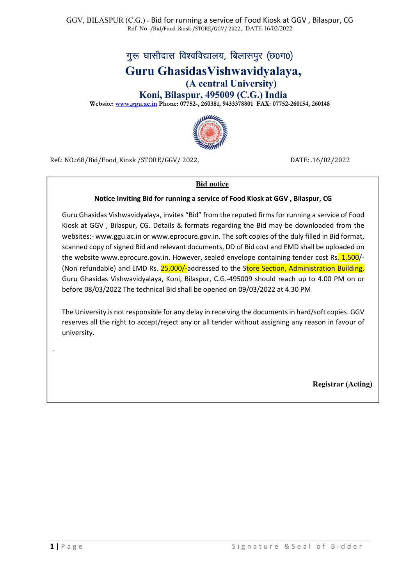# गुरू घासीदास विश्वविद्यालय, बिलासपुर (छ0ग0)

# Guru GhasidasVishwavidyalaya,

(A central University)

Koni, Bilaspur, 495009 (C.G.) India

Website: www.ggu.ac.in Phone: 07752-, 260381, 9433378801 FAX: 07752-260154, 260148



Ref.: NO.:68/Bid/Food\_Kiosk /STORE/GGV/ 2022, DATE: .16/02/2022

#### Bid notice

#### Notice Inviting Bid for running a service of Food Kiosk at GGV , Bilaspur, CG

Guru Ghasidas Vishwavidyalaya, invites "Bid" from the reputed firms for running a service of Food Kiosk at GGV , Bilaspur, CG. Details & formats regarding the Bid may be downloaded from the websites:- www.ggu.ac.in or www.eprocure.gov.in. The soft copies of the duly filled in Bid format, scanned copy of signed Bid and relevant documents, DD of Bid cost and EMD shall be uploaded on the website www.eprocure.gov.in. However, sealed envelope containing tender cost Rs. 1,500/-(Non refundable) and EMD Rs. 25,000/-addressed to the Store Section, Administration Building, Guru Ghasidas Vishwavidyalaya, Koni, Bilaspur, C.G.-495009 should reach up to 4.00 PM on or before 08/03/2022 The technical Bid shall be opened on 09/03/2022 at 4.30 PM

The University is not responsible for any delay in receiving the documents in hard/soft copies. GGV reserves all the right to accept/reject any or all tender without assigning any reason in favour of university.

Registrar (Acting)

.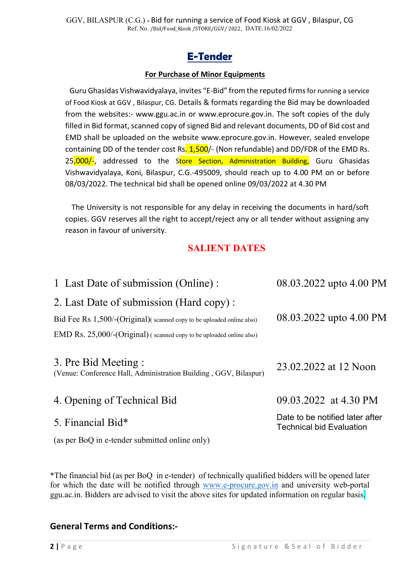## E-Tender

## For Purchase of Minor Equipments

Guru Ghasidas Vishwavidyalaya, invites "E-Bid" from the reputed firms for running a service of Food Kiosk at GGV , Bilaspur, CG. Details & formats regarding the Bid may be downloaded from the websites:- www.ggu.ac.in or www.eprocure.gov.in. The soft copies of the duly filled in Bid format, scanned copy of signed Bid and relevant documents, DD of Bid cost and EMD shall be uploaded on the website www.eprocure.gov.in. However, sealed envelope containing DD of the tender cost Rs. 1,500/- (Non refundable) and DD/FDR of the EMD Rs. 25,000/-, addressed to the Store Section, Administration Building, Guru Ghasidas Vishwavidyalaya, Koni, Bilaspur, C.G.-495009, should reach up to 4.00 PM on or before 08/03/2022. The technical bid shall be opened online 09/03/2022 at 4.30 PM

The University is not responsible for any delay in receiving the documents in hard/soft copies. GGV reserves all the right to accept/reject any or all tender without assigning any reason in favour of university.

## SALIENT DATES

| 1 Last Date of submission (Online):                                                      | 08.03.2022 upto 4.00 PM                                            |
|------------------------------------------------------------------------------------------|--------------------------------------------------------------------|
| 2. Last Date of submission (Hard copy):                                                  |                                                                    |
| Bid Fee Rs 1,500/-(Original)(scanned copy to be uploaded online also)                    | 08.03.2022 upto 4.00 PM                                            |
| EMD Rs. 25,000/-(Original) (scanned copy to be uploaded online also)                     |                                                                    |
| 3. Pre Bid Meeting :<br>(Venue: Conference Hall, Administration Building, GGV, Bilaspur) | 23.02.2022 at 12 Noon                                              |
| 4. Opening of Technical Bid                                                              | 09.03.2022 at 4.30 PM                                              |
| 5. Financial Bid*                                                                        | Date to be notified later after<br><b>Technical bid Evaluation</b> |
| (as per BoQ in e-tender submitted online only)                                           |                                                                    |

\*The financial bid (as per BoQ in e-tender) of technically qualified bidders will be opened later for which the date will be notified through www.e-procure.gov.in and university web-portal ggu.ac.in. Bidders are advised to visit the above sites for updated information on regular basis.

## General Terms and Conditions:-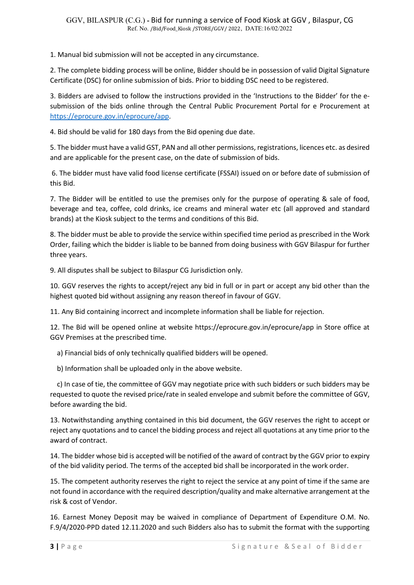1. Manual bid submission will not be accepted in any circumstance.

2. The complete bidding process will be online, Bidder should be in possession of valid Digital Signature Certificate (DSC) for online submission of bids. Prior to bidding DSC need to be registered.

3. Bidders are advised to follow the instructions provided in the 'Instructions to the Bidder' for the esubmission of the bids online through the Central Public Procurement Portal for e Procurement at https://eprocure.gov.in/eprocure/app.

4. Bid should be valid for 180 days from the Bid opening due date.

5. The bidder must have a valid GST, PAN and all other permissions, registrations, licences etc. as desired and are applicable for the present case, on the date of submission of bids.

 6. The bidder must have valid food license certificate (FSSAI) issued on or before date of submission of this Bid.

7. The Bidder will be entitled to use the premises only for the purpose of operating & sale of food, beverage and tea, coffee, cold drinks, ice creams and mineral water etc (all approved and standard brands) at the Kiosk subject to the terms and conditions of this Bid.

8. The bidder must be able to provide the service within specified time period as prescribed in the Work Order, failing which the bidder is liable to be banned from doing business with GGV Bilaspur for further three years.

9. All disputes shall be subject to Bilaspur CG Jurisdiction only.

10. GGV reserves the rights to accept/reject any bid in full or in part or accept any bid other than the highest quoted bid without assigning any reason thereof in favour of GGV.

11. Any Bid containing incorrect and incomplete information shall be liable for rejection.

12. The Bid will be opened online at website https://eprocure.gov.in/eprocure/app in Store office at GGV Premises at the prescribed time.

a) Financial bids of only technically qualified bidders will be opened.

b) Information shall be uploaded only in the above website.

 c) In case of tie, the committee of GGV may negotiate price with such bidders or such bidders may be requested to quote the revised price/rate in sealed envelope and submit before the committee of GGV, before awarding the bid.

13. Notwithstanding anything contained in this bid document, the GGV reserves the right to accept or reject any quotations and to cancel the bidding process and reject all quotations at any time prior to the award of contract.

14. The bidder whose bid is accepted will be notified of the award of contract by the GGV prior to expiry of the bid validity period. The terms of the accepted bid shall be incorporated in the work order.

15. The competent authority reserves the right to reject the service at any point of time if the same are not found in accordance with the required description/quality and make alternative arrangement at the risk & cost of Vendor.

16. Earnest Money Deposit may be waived in compliance of Department of Expenditure O.M. No. F.9/4/2020-PPD dated 12.11.2020 and such Bidders also has to submit the format with the supporting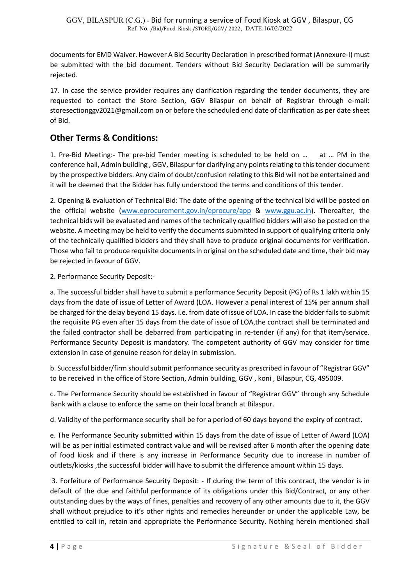documents for EMD Waiver. However A Bid Security Declaration in prescribed format (Annexure-I) must be submitted with the bid document. Tenders without Bid Security Declaration will be summarily rejected.

17. In case the service provider requires any clarification regarding the tender documents, they are requested to contact the Store Section, GGV Bilaspur on behalf of Registrar through e-mail: storesectionggv2021@gmail.com on or before the scheduled end date of clarification as per date sheet of Bid.

## Other Terms & Conditions:

1. Pre-Bid Meeting:- The pre-bid Tender meeting is scheduled to be held on … at … PM in the conference hall, Admin building , GGV, Bilaspur for clarifying any points relating to this tender document by the prospective bidders. Any claim of doubt/confusion relating to this Bid will not be entertained and it will be deemed that the Bidder has fully understood the terms and conditions of this tender.

2. Opening & evaluation of Technical Bid: The date of the opening of the technical bid will be posted on the official website (www.eprocurement.gov.in/eprocure/app & www.ggu.ac.in). Thereafter, the technical bids will be evaluated and names of the technically qualified bidders will also be posted on the website. A meeting may be held to verify the documents submitted in support of qualifying criteria only of the technically qualified bidders and they shall have to produce original documents for verification. Those who fail to produce requisite documents in original on the scheduled date and time, their bid may be rejected in favour of GGV.

2. Performance Security Deposit:-

a. The successful bidder shall have to submit a performance Security Deposit (PG) of Rs 1 lakh within 15 days from the date of issue of Letter of Award (LOA. However a penal interest of 15% per annum shall be charged for the delay beyond 15 days. i.e. from date of issue of LOA. In case the bidder fails to submit the requisite PG even after 15 days from the date of issue of LOA,the contract shall be terminated and the failed contractor shall be debarred from participating in re-tender (if any) for that item/service. Performance Security Deposit is mandatory. The competent authority of GGV may consider for time extension in case of genuine reason for delay in submission.

b. Successful bidder/firm should submit performance security as prescribed in favour of "Registrar GGV" to be received in the office of Store Section, Admin building, GGV , koni , Bilaspur, CG, 495009.

c. The Performance Security should be established in favour of "Registrar GGV" through any Schedule Bank with a clause to enforce the same on their local branch at Bilaspur.

d. Validity of the performance security shall be for a period of 60 days beyond the expiry of contract.

e. The Performance Security submitted within 15 days from the date of issue of Letter of Award (LOA) will be as per initial estimated contract value and will be revised after 6 month after the opening date of food kiosk and if there is any increase in Performance Security due to increase in number of outlets/kiosks ,the successful bidder will have to submit the difference amount within 15 days.

 3. Forfeiture of Performance Security Deposit: - If during the term of this contract, the vendor is in default of the due and faithful performance of its obligations under this Bid/Contract, or any other outstanding dues by the ways of fines, penalties and recovery of any other amounts due to it, the GGV shall without prejudice to it's other rights and remedies hereunder or under the applicable Law, be entitled to call in, retain and appropriate the Performance Security. Nothing herein mentioned shall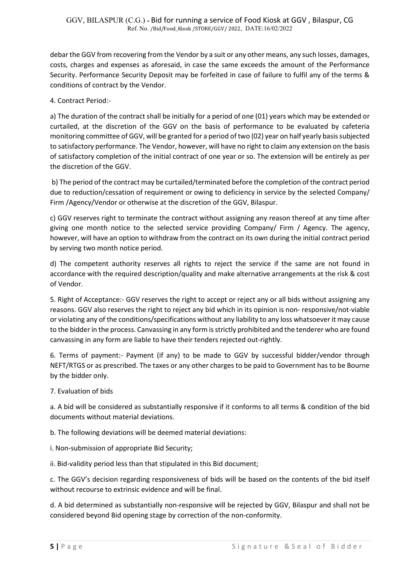debar the GGV from recovering from the Vendor by a suit or any other means, any such losses, damages, costs, charges and expenses as aforesaid, in case the same exceeds the amount of the Performance Security. Performance Security Deposit may be forfeited in case of failure to fulfil any of the terms & conditions of contract by the Vendor.

4. Contract Period:-

a) The duration of the contract shall be initially for a period of one (01) years which may be extended or curtailed, at the discretion of the GGV on the basis of performance to be evaluated by cafeteria monitoring committee of GGV, will be granted for a period of two (02) year on half yearly basis subjected to satisfactory performance. The Vendor, however, will have no right to claim any extension on the basis of satisfactory completion of the initial contract of one year or so. The extension will be entirely as per the discretion of the GGV.

 b) The period of the contract may be curtailed/terminated before the completion of the contract period due to reduction/cessation of requirement or owing to deficiency in service by the selected Company/ Firm /Agency/Vendor or otherwise at the discretion of the GGV, Bilaspur.

c) GGV reserves right to terminate the contract without assigning any reason thereof at any time after giving one month notice to the selected service providing Company/ Firm / Agency. The agency, however, will have an option to withdraw from the contract on its own during the initial contract period by serving two month notice period.

d) The competent authority reserves all rights to reject the service if the same are not found in accordance with the required description/quality and make alternative arrangements at the risk & cost of Vendor.

5. Right of Acceptance:- GGV reserves the right to accept or reject any or all bids without assigning any reasons. GGV also reserves the right to reject any bid which in its opinion is non- responsive/not-viable or violating any of the conditions/specifications without any liability to any loss whatsoever it may cause to the bidder in the process. Canvassing in any form is strictly prohibited and the tenderer who are found canvassing in any form are liable to have their tenders rejected out-rightly.

6. Terms of payment:- Payment (if any) to be made to GGV by successful bidder/vendor through NEFT/RTGS or as prescribed. The taxes or any other charges to be paid to Government has to be Bourne by the bidder only.

7. Evaluation of bids

a. A bid will be considered as substantially responsive if it conforms to all terms & condition of the bid documents without material deviations.

b. The following deviations will be deemed material deviations:

- i. Non-submission of appropriate Bid Security;
- ii. Bid-validity period less than that stipulated in this Bid document;

c. The GGV's decision regarding responsiveness of bids will be based on the contents of the bid itself without recourse to extrinsic evidence and will be final.

d. A bid determined as substantially non-responsive will be rejected by GGV, Bilaspur and shall not be considered beyond Bid opening stage by correction of the non-conformity.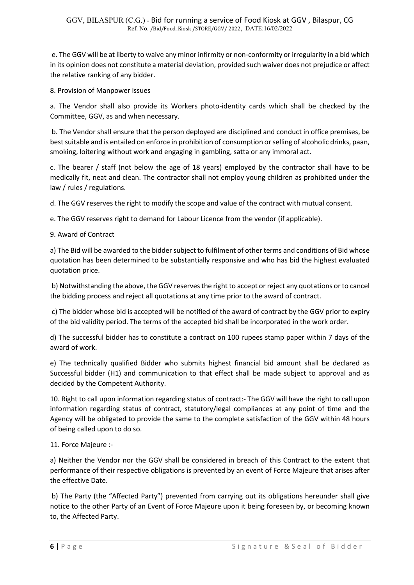e. The GGV will be at liberty to waive any minor infirmity or non-conformity or irregularity in a bid which in its opinion does not constitute a material deviation, provided such waiver does not prejudice or affect the relative ranking of any bidder.

8. Provision of Manpower issues

a. The Vendor shall also provide its Workers photo-identity cards which shall be checked by the Committee, GGV, as and when necessary.

 b. The Vendor shall ensure that the person deployed are disciplined and conduct in office premises, be best suitable and is entailed on enforce in prohibition of consumption or selling of alcoholic drinks, paan, smoking, loitering without work and engaging in gambling, satta or any immoral act.

c. The bearer / staff (not below the age of 18 years) employed by the contractor shall have to be medically fit, neat and clean. The contractor shall not employ young children as prohibited under the law / rules / regulations.

d. The GGV reserves the right to modify the scope and value of the contract with mutual consent.

e. The GGV reserves right to demand for Labour Licence from the vendor (if applicable).

9. Award of Contract

a) The Bid will be awarded to the bidder subject to fulfilment of other terms and conditions of Bid whose quotation has been determined to be substantially responsive and who has bid the highest evaluated quotation price.

 b) Notwithstanding the above, the GGV reserves the right to accept or reject any quotations or to cancel the bidding process and reject all quotations at any time prior to the award of contract.

 c) The bidder whose bid is accepted will be notified of the award of contract by the GGV prior to expiry of the bid validity period. The terms of the accepted bid shall be incorporated in the work order.

d) The successful bidder has to constitute a contract on 100 rupees stamp paper within 7 days of the award of work.

e) The technically qualified Bidder who submits highest financial bid amount shall be declared as Successful bidder (H1) and communication to that effect shall be made subject to approval and as decided by the Competent Authority.

10. Right to call upon information regarding status of contract:- The GGV will have the right to call upon information regarding status of contract, statutory/legal compliances at any point of time and the Agency will be obligated to provide the same to the complete satisfaction of the GGV within 48 hours of being called upon to do so.

11. Force Majeure :-

a) Neither the Vendor nor the GGV shall be considered in breach of this Contract to the extent that performance of their respective obligations is prevented by an event of Force Majeure that arises after the effective Date.

 b) The Party (the "Affected Party") prevented from carrying out its obligations hereunder shall give notice to the other Party of an Event of Force Majeure upon it being foreseen by, or becoming known to, the Affected Party.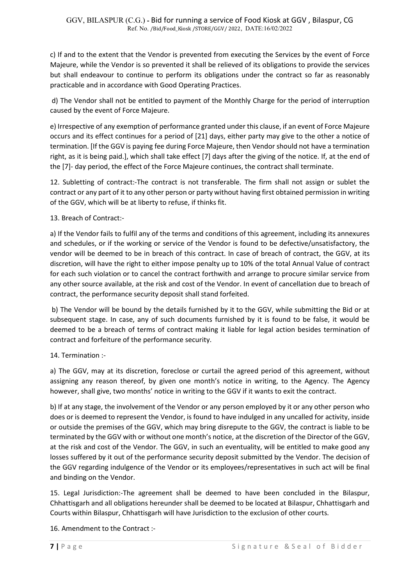c) If and to the extent that the Vendor is prevented from executing the Services by the event of Force Majeure, while the Vendor is so prevented it shall be relieved of its obligations to provide the services but shall endeavour to continue to perform its obligations under the contract so far as reasonably practicable and in accordance with Good Operating Practices.

 d) The Vendor shall not be entitled to payment of the Monthly Charge for the period of interruption caused by the event of Force Majeure.

e) Irrespective of any exemption of performance granted under this clause, if an event of Force Majeure occurs and its effect continues for a period of [21] days, either party may give to the other a notice of termination. [If the GGV is paying fee during Force Majeure, then Vendor should not have a termination right, as it is being paid.], which shall take effect [7] days after the giving of the notice. If, at the end of the [7]- day period, the effect of the Force Majeure continues, the contract shall terminate.

12. Subletting of contract:-The contract is not transferable. The firm shall not assign or sublet the contract or any part of it to any other person or party without having first obtained permission in writing of the GGV, which will be at liberty to refuse, if thinks fit.

13. Breach of Contract:-

a) If the Vendor fails to fulfil any of the terms and conditions of this agreement, including its annexures and schedules, or if the working or service of the Vendor is found to be defective/unsatisfactory, the vendor will be deemed to be in breach of this contract. In case of breach of contract, the GGV, at its discretion, will have the right to either impose penalty up to 10% of the total Annual Value of contract for each such violation or to cancel the contract forthwith and arrange to procure similar service from any other source available, at the risk and cost of the Vendor. In event of cancellation due to breach of contract, the performance security deposit shall stand forfeited.

 b) The Vendor will be bound by the details furnished by it to the GGV, while submitting the Bid or at subsequent stage. In case, any of such documents furnished by it is found to be false, it would be deemed to be a breach of terms of contract making it liable for legal action besides termination of contract and forfeiture of the performance security.

14. Termination :-

a) The GGV, may at its discretion, foreclose or curtail the agreed period of this agreement, without assigning any reason thereof, by given one month's notice in writing, to the Agency. The Agency however, shall give, two months' notice in writing to the GGV if it wants to exit the contract.

b) If at any stage, the involvement of the Vendor or any person employed by it or any other person who does or is deemed to represent the Vendor, is found to have indulged in any uncalled for activity, inside or outside the premises of the GGV, which may bring disrepute to the GGV, the contract is liable to be terminated by the GGV with or without one month's notice, at the discretion of the Director of the GGV, at the risk and cost of the Vendor. The GGV, in such an eventuality, will be entitled to make good any losses suffered by it out of the performance security deposit submitted by the Vendor. The decision of the GGV regarding indulgence of the Vendor or its employees/representatives in such act will be final and binding on the Vendor.

15. Legal Jurisdiction:-The agreement shall be deemed to have been concluded in the Bilaspur, Chhattisgarh and all obligations hereunder shall be deemed to be located at Bilaspur, Chhattisgarh and Courts within Bilaspur, Chhattisgarh will have Jurisdiction to the exclusion of other courts.

16. Amendment to the Contract :-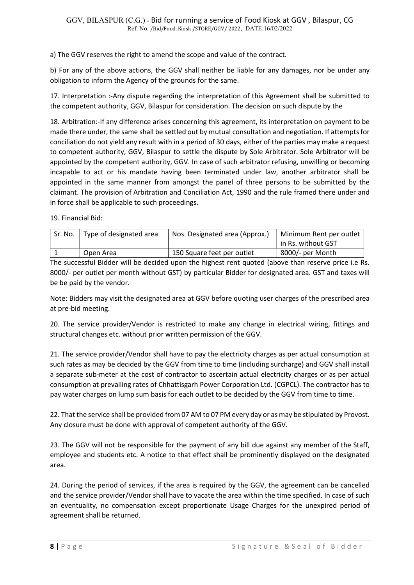a) The GGV reserves the right to amend the scope and value of the contract.

b) For any of the above actions, the GGV shall neither be liable for any damages, nor be under any obligation to inform the Agency of the grounds for the same.

17. Interpretation :-Any dispute regarding the interpretation of this Agreement shall be submitted to the competent authority, GGV, Bilaspur for consideration. The decision on such dispute by the

18. Arbitration:-If any difference arises concerning this agreement, its interpretation on payment to be made there under, the same shall be settled out by mutual consultation and negotiation. If attempts for conciliation do not yield any result with in a period of 30 days, either of the parties may make a request to competent authority, GGV, Bilaspur to settle the dispute by Sole Arbitrator. Sole Arbitrator will be appointed by the competent authority, GGV. In case of such arbitrator refusing, unwilling or becoming incapable to act or his mandate having been terminated under law, another arbitrator shall be appointed in the same manner from amongst the panel of three persons to be submitted by the claimant. The provision of Arbitration and Conciliation Act, 1990 and the rule framed there under and in force shall be applicable to such proceedings.

19. Financial Bid:

| Sr. No. | Type of designated area | Nos. Designated area (Approx.) | Minimum Rent per outlet |
|---------|-------------------------|--------------------------------|-------------------------|
|         |                         |                                | in Rs. without GST      |
|         | Open Area               | 150 Square feet per outlet     | 8000/- per Month        |

The successful Bidder will be decided upon the highest rent quoted (above than reserve price i.e Rs. 8000/- per outlet per month without GST) by particular Bidder for designated area. GST and taxes will be be paid by the vendor.

Note: Bidders may visit the designated area at GGV before quoting user charges of the prescribed area at pre-bid meeting.

20. The service provider/Vendor is restricted to make any change in electrical wiring, fittings and structural changes etc. without prior written permission of the GGV.

21. The service provider/Vendor shall have to pay the electricity charges as per actual consumption at such rates as may be decided by the GGV from time to time (including surcharge) and GGV shall install a separate sub-meter at the cost of contractor to ascertain actual electricity charges or as per actual consumption at prevailing rates of Chhattisgarh Power Corporation Ltd. (CGPCL). The contractor has to pay water charges on lump sum basis for each outlet to be decided by the GGV from time to time.

22. That the service shall be provided from 07 AM to 07 PM every day or as may be stipulated by Provost. Any closure must be done with approval of competent authority of the GGV.

23. The GGV will not be responsible for the payment of any bill due against any member of the Staff, employee and students etc. A notice to that effect shall be prominently displayed on the designated area.

24. During the period of services, if the area is required by the GGV, the agreement can be cancelled and the service provider/Vendor shall have to vacate the area within the time specified. In case of such an eventuality, no compensation except proportionate Usage Charges for the unexpired period of agreement shall be returned.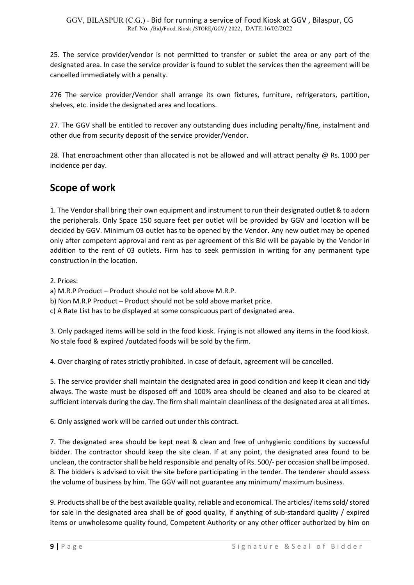25. The service provider/vendor is not permitted to transfer or sublet the area or any part of the designated area. In case the service provider is found to sublet the services then the agreement will be cancelled immediately with a penalty.

276 The service provider/Vendor shall arrange its own fixtures, furniture, refrigerators, partition, shelves, etc. inside the designated area and locations.

27. The GGV shall be entitled to recover any outstanding dues including penalty/fine, instalment and other due from security deposit of the service provider/Vendor.

28. That encroachment other than allocated is not be allowed and will attract penalty @ Rs. 1000 per incidence per day.

## Scope of work

1. The Vendor shall bring their own equipment and instrument to run their designated outlet & to adorn the peripherals. Only Space 150 square feet per outlet will be provided by GGV and location will be decided by GGV. Minimum 03 outlet has to be opened by the Vendor. Any new outlet may be opened only after competent approval and rent as per agreement of this Bid will be payable by the Vendor in addition to the rent of 03 outlets. Firm has to seek permission in writing for any permanent type construction in the location.

2. Prices:

- a) M.R.P Product Product should not be sold above M.R.P.
- b) Non M.R.P Product Product should not be sold above market price.
- c) A Rate List has to be displayed at some conspicuous part of designated area.

3. Only packaged items will be sold in the food kiosk. Frying is not allowed any items in the food kiosk. No stale food & expired /outdated foods will be sold by the firm.

4. Over charging of rates strictly prohibited. In case of default, agreement will be cancelled.

5. The service provider shall maintain the designated area in good condition and keep it clean and tidy always. The waste must be disposed off and 100% area should be cleaned and also to be cleared at sufficient intervals during the day. The firm shall maintain cleanliness of the designated area at all times.

6. Only assigned work will be carried out under this contract.

7. The designated area should be kept neat & clean and free of unhygienic conditions by successful bidder. The contractor should keep the site clean. If at any point, the designated area found to be unclean, the contractor shall be held responsible and penalty of Rs. 500/- per occasion shall be imposed. 8. The bidders is advised to visit the site before participating in the tender. The tenderer should assess the volume of business by him. The GGV will not guarantee any minimum/ maximum business.

9. Products shall be of the best available quality, reliable and economical. The articles/ items sold/ stored for sale in the designated area shall be of good quality, if anything of sub-standard quality / expired items or unwholesome quality found, Competent Authority or any other officer authorized by him on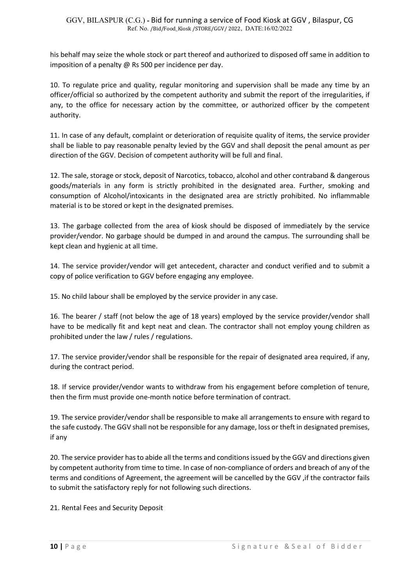his behalf may seize the whole stock or part thereof and authorized to disposed off same in addition to imposition of a penalty @ Rs 500 per incidence per day.

10. To regulate price and quality, regular monitoring and supervision shall be made any time by an officer/official so authorized by the competent authority and submit the report of the irregularities, if any, to the office for necessary action by the committee, or authorized officer by the competent authority.

11. In case of any default, complaint or deterioration of requisite quality of items, the service provider shall be liable to pay reasonable penalty levied by the GGV and shall deposit the penal amount as per direction of the GGV. Decision of competent authority will be full and final.

12. The sale, storage or stock, deposit of Narcotics, tobacco, alcohol and other contraband & dangerous goods/materials in any form is strictly prohibited in the designated area. Further, smoking and consumption of Alcohol/intoxicants in the designated area are strictly prohibited. No inflammable material is to be stored or kept in the designated premises.

13. The garbage collected from the area of kiosk should be disposed of immediately by the service provider/vendor. No garbage should be dumped in and around the campus. The surrounding shall be kept clean and hygienic at all time.

14. The service provider/vendor will get antecedent, character and conduct verified and to submit a copy of police verification to GGV before engaging any employee.

15. No child labour shall be employed by the service provider in any case.

16. The bearer / staff (not below the age of 18 years) employed by the service provider/vendor shall have to be medically fit and kept neat and clean. The contractor shall not employ young children as prohibited under the law / rules / regulations.

17. The service provider/vendor shall be responsible for the repair of designated area required, if any, during the contract period.

18. If service provider/vendor wants to withdraw from his engagement before completion of tenure, then the firm must provide one-month notice before termination of contract.

19. The service provider/vendor shall be responsible to make all arrangements to ensure with regard to the safe custody. The GGV shall not be responsible for any damage, loss or theft in designated premises, if any

20. The service provider has to abide all the terms and conditions issued by the GGV and directions given by competent authority from time to time. In case of non-compliance of orders and breach of any of the terms and conditions of Agreement, the agreement will be cancelled by the GGV ,if the contractor fails to submit the satisfactory reply for not following such directions.

21. Rental Fees and Security Deposit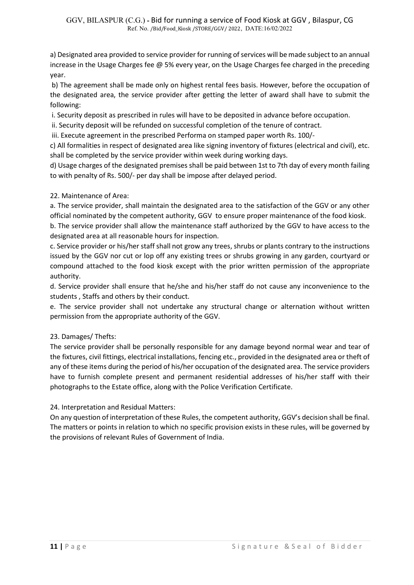a) Designated area provided to service provider for running of services will be made subject to an annual increase in the Usage Charges fee @ 5% every year, on the Usage Charges fee charged in the preceding year.

 b) The agreement shall be made only on highest rental fees basis. However, before the occupation of the designated area, the service provider after getting the letter of award shall have to submit the following:

i. Security deposit as prescribed in rules will have to be deposited in advance before occupation.

ii. Security deposit will be refunded on successful completion of the tenure of contract.

iii. Execute agreement in the prescribed Performa on stamped paper worth Rs. 100/-

c) All formalities in respect of designated area like signing inventory of fixtures (electrical and civil), etc. shall be completed by the service provider within week during working days.

d) Usage charges of the designated premises shall be paid between 1st to 7th day of every month failing to with penalty of Rs. 500/- per day shall be impose after delayed period.

### 22. Maintenance of Area:

a. The service provider, shall maintain the designated area to the satisfaction of the GGV or any other official nominated by the competent authority, GGV to ensure proper maintenance of the food kiosk.

b. The service provider shall allow the maintenance staff authorized by the GGV to have access to the designated area at all reasonable hours for inspection.

c. Service provider or his/her staff shall not grow any trees, shrubs or plants contrary to the instructions issued by the GGV nor cut or lop off any existing trees or shrubs growing in any garden, courtyard or compound attached to the food kiosk except with the prior written permission of the appropriate authority.

d. Service provider shall ensure that he/she and his/her staff do not cause any inconvenience to the students , Staffs and others by their conduct.

e. The service provider shall not undertake any structural change or alternation without written permission from the appropriate authority of the GGV.

#### 23. Damages/ Thefts:

The service provider shall be personally responsible for any damage beyond normal wear and tear of the fixtures, civil fittings, electrical installations, fencing etc., provided in the designated area or theft of any of these items during the period of his/her occupation of the designated area. The service providers have to furnish complete present and permanent residential addresses of his/her staff with their photographs to the Estate office, along with the Police Verification Certificate.

24. Interpretation and Residual Matters:

On any question of interpretation of these Rules, the competent authority, GGV's decision shall be final. The matters or points in relation to which no specific provision exists in these rules, will be governed by the provisions of relevant Rules of Government of India.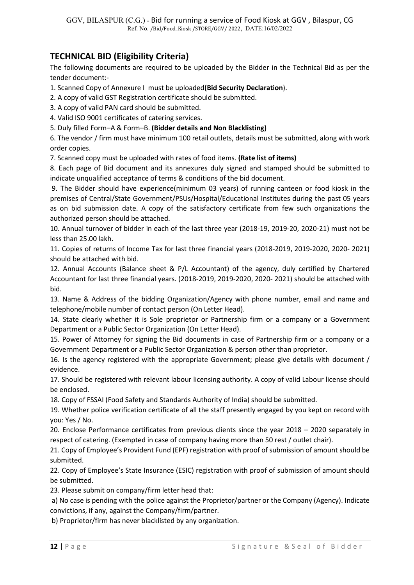## TECHNICAL BID (Eligibility Criteria)

The following documents are required to be uploaded by the Bidder in the Technical Bid as per the tender document:-

1. Scanned Copy of Annexure I must be uploaded(Bid Security Declaration).

2. A copy of valid GST Registration certificate should be submitted.

3. A copy of valid PAN card should be submitted.

4. Valid ISO 9001 certificates of catering services.

5. Duly filled Form–A & Form–B. (Bidder details and Non Blacklisting)

6. The vendor / firm must have minimum 100 retail outlets, details must be submitted, along with work order copies.

7. Scanned copy must be uploaded with rates of food items. (Rate list of items)

8. Each page of Bid document and its annexures duly signed and stamped should be submitted to indicate unqualified acceptance of terms & conditions of the bid document.

 9. The Bidder should have experience(minimum 03 years) of running canteen or food kiosk in the premises of Central/State Government/PSUs/Hospital/Educational Institutes during the past 05 years as on bid submission date. A copy of the satisfactory certificate from few such organizations the authorized person should be attached.

10. Annual turnover of bidder in each of the last three year (2018-19, 2019-20, 2020-21) must not be less than 25.00 lakh.

11. Copies of returns of Income Tax for last three financial years (2018-2019, 2019-2020, 2020- 2021) should be attached with bid.

12. Annual Accounts (Balance sheet & P/L Accountant) of the agency, duly certified by Chartered Accountant for last three financial years. (2018-2019, 2019-2020, 2020- 2021) should be attached with bid.

13. Name & Address of the bidding Organization/Agency with phone number, email and name and telephone/mobile number of contact person (On Letter Head).

14. State clearly whether it is Sole proprietor or Partnership firm or a company or a Government Department or a Public Sector Organization (On Letter Head).

15. Power of Attorney for signing the Bid documents in case of Partnership firm or a company or a Government Department or a Public Sector Organization & person other than proprietor.

16. Is the agency registered with the appropriate Government; please give details with document / evidence.

17. Should be registered with relevant labour licensing authority. A copy of valid Labour license should be enclosed.

18. Copy of FSSAI (Food Safety and Standards Authority of India) should be submitted.

19. Whether police verification certificate of all the staff presently engaged by you kept on record with you: Yes / No.

20. Enclose Performance certificates from previous clients since the year 2018 – 2020 separately in respect of catering. (Exempted in case of company having more than 50 rest / outlet chair).

21. Copy of Employee's Provident Fund (EPF) registration with proof of submission of amount should be submitted.

22. Copy of Employee's State Insurance (ESIC) registration with proof of submission of amount should be submitted.

23. Please submit on company/firm letter head that:

 a) No case is pending with the police against the Proprietor/partner or the Company (Agency). Indicate convictions, if any, against the Company/firm/partner.

b) Proprietor/firm has never blacklisted by any organization.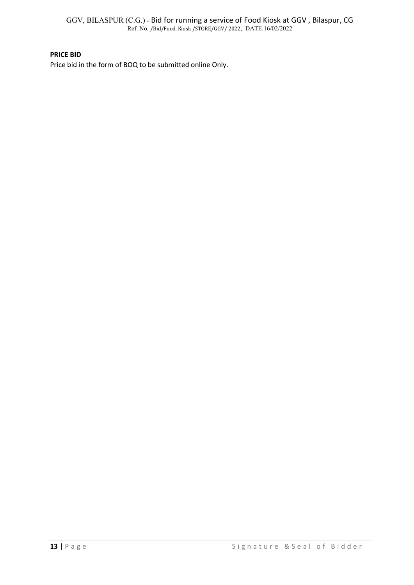GGV, BILASPUR (C.G.) - Bid for running a service of Food Kiosk at GGV , Bilaspur, CG Ref. No. /Bid/Food\_Kiosk /STORE/GGV/ 2022, DATE:16/02/2022

#### PRICE BID

Price bid in the form of BOQ to be submitted online Only.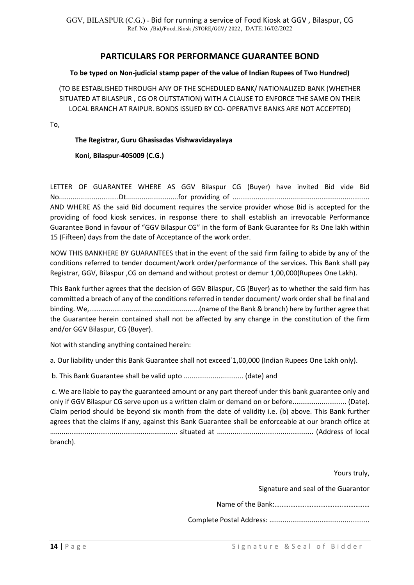## PARTICULARS FOR PERFORMANCE GUARANTEE BOND

#### To be typed on Non-judicial stamp paper of the value of Indian Rupees of Two Hundred)

(TO BE ESTABLISHED THROUGH ANY OF THE SCHEDULED BANK/ NATIONALIZED BANK (WHETHER SITUATED AT BILASPUR , CG OR OUTSTATION) WITH A CLAUSE TO ENFORCE THE SAME ON THEIR LOCAL BRANCH AT RAIPUR. BONDS ISSUED BY CO- OPERATIVE BANKS ARE NOT ACCEPTED)

To,

#### The Registrar, Guru Ghasisadas Vishwavidayalaya

Koni, Bilaspur-405009 (C.G.)

LETTER OF GUARANTEE WHERE AS GGV Bilaspur CG (Buyer) have invited Bid vide Bid No...............................Dt...........................for providing of ....................................................................... AND WHERE AS the said Bid document requires the service provider whose Bid is accepted for the providing of food kiosk services. in response there to shall establish an irrevocable Performance Guarantee Bond in favour of "GGV Bilaspur CG" in the form of Bank Guarantee for Rs One lakh within 15 (Fifteen) days from the date of Acceptance of the work order.

NOW THIS BANKHERE BY GUARANTEES that in the event of the said firm failing to abide by any of the conditions referred to tender document/work order/performance of the services. This Bank shall pay Registrar, GGV, Bilaspur ,CG on demand and without protest or demur 1,00,000(Rupees One Lakh).

This Bank further agrees that the decision of GGV Bilaspur, CG (Buyer) as to whether the said firm has committed a breach of any of the conditions referred in tender document/ work order shall be final and binding. We,.........................................................(name of the Bank & branch) here by further agree that the Guarantee herein contained shall not be affected by any change in the constitution of the firm and/or GGV Bilaspur, CG (Buyer).

Not with standing anything contained herein:

a. Our liability under this Bank Guarantee shall not exceed`1,00,000 (Indian Rupees One Lakh only).

b. This Bank Guarantee shall be valid upto ............................... (date) and

 c. We are liable to pay the guaranteed amount or any part thereof under this bank guarantee only and only if GGV Bilaspur CG serve upon us a written claim or demand on or before............................ (Date). Claim period should be beyond six month from the date of validity i.e. (b) above. This Bank further agrees that the claims if any, against this Bank Guarantee shall be enforceable at our branch office at .................................................................. situated at .................................................. (Address of local branch).

Yours truly,

Signature and seal of the Guarantor

Name of the Bank:………………………………………………

Complete Postal Address: ....................................................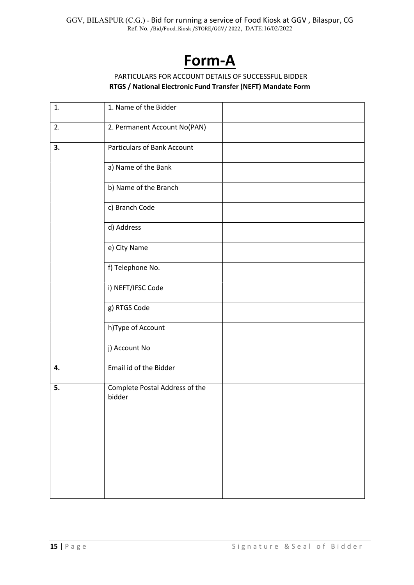# Form-A

### PARTICULARS FOR ACCOUNT DETAILS OF SUCCESSFUL BIDDER RTGS / National Electronic Fund Transfer (NEFT) Mandate Form

| 1. | 1. Name of the Bidder                    |
|----|------------------------------------------|
| 2. | 2. Permanent Account No(PAN)             |
| 3. | <b>Particulars of Bank Account</b>       |
|    | a) Name of the Bank                      |
|    | b) Name of the Branch                    |
|    | c) Branch Code                           |
|    | d) Address                               |
|    | e) City Name                             |
|    | f) Telephone No.                         |
|    | i) NEFT/IFSC Code                        |
|    | g) RTGS Code                             |
|    | h)Type of Account                        |
|    | j) Account No                            |
| 4. | Email id of the Bidder                   |
| 5. | Complete Postal Address of the<br>bidder |
|    |                                          |
|    |                                          |
|    |                                          |
|    |                                          |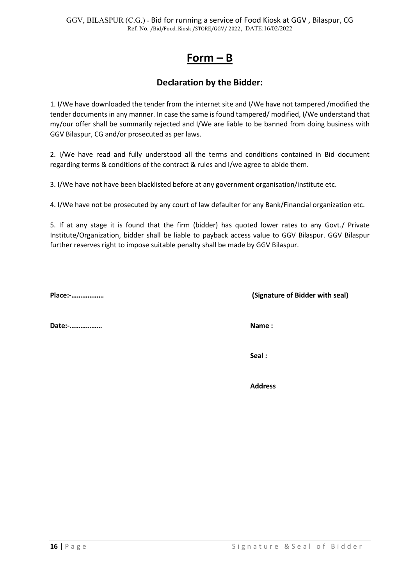## Form – B

## Declaration by the Bidder:

1. I/We have downloaded the tender from the internet site and I/We have not tampered /modified the tender documents in any manner. In case the same is found tampered/ modified, I/We understand that my/our offer shall be summarily rejected and I/We are liable to be banned from doing business with GGV Bilaspur, CG and/or prosecuted as per laws.

2. I/We have read and fully understood all the terms and conditions contained in Bid document regarding terms & conditions of the contract & rules and I/we agree to abide them.

3. I/We have not have been blacklisted before at any government organisation/institute etc.

4. I/We have not be prosecuted by any court of law defaulter for any Bank/Financial organization etc.

5. If at any stage it is found that the firm (bidder) has quoted lower rates to any Govt./ Private Institute/Organization, bidder shall be liable to payback access value to GGV Bilaspur. GGV Bilaspur further reserves right to impose suitable penalty shall be made by GGV Bilaspur.

Date:-……………… Name :

Place:-……………… (Signature of Bidder with seal)

Seal :

Address